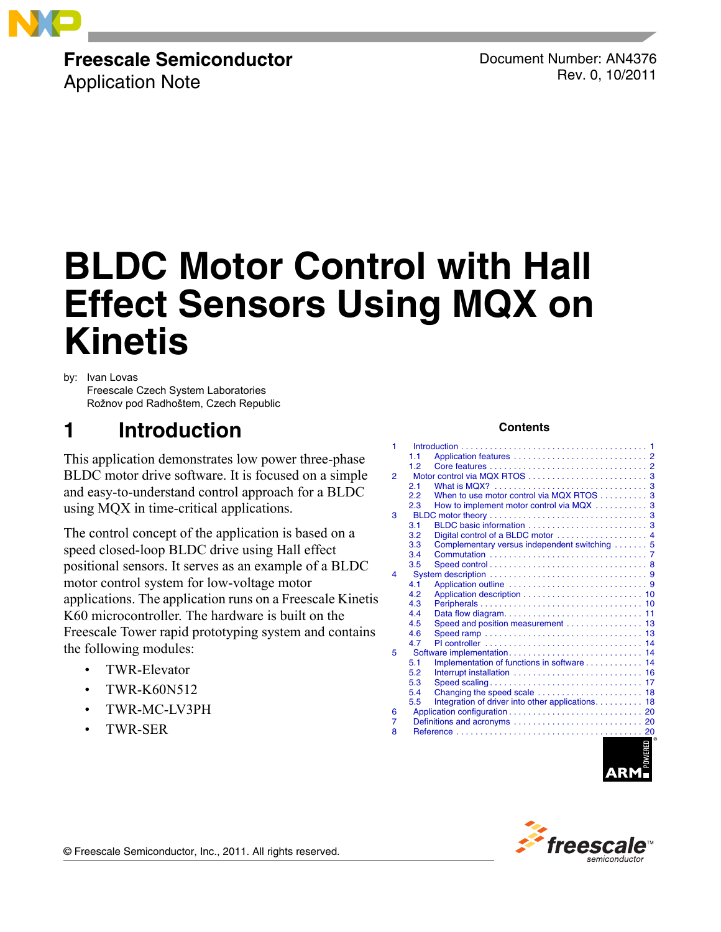

# **Freescale Semiconductor**

Application Note

Document Number: AN4376 Rev. 0, 10/2011

# **BLDC Motor Control with Hall Effect Sensors Using MQX on Kinetis**

#### by: Ivan Lovas

Freescale Czech System Laboratories Rožnov pod Radhoštem, Czech Republic

# <span id="page-0-0"></span>**1 Introduction**

This application demonstrates low power three-phase BLDC motor drive software. It is focused on a simple and easy-to-understand control approach for a BLDC using MQX in time-critical applications.

The control concept of the application is based on a speed closed-loop BLDC drive using Hall effect positional sensors. It serves as an example of a BLDC motor control system for low-voltage motor applications. The application runs on a Freescale Kinetis K60 microcontroller. The hardware is built on the Freescale Tower rapid prototyping system and contains the following modules:

- TWR-Elevator
- TWR-K60N512
- TWR-MC-LV3PH
- TWR-SER

#### **Contents**

|   |          |                                                  |  | $\overline{\mathbf{B}}$ |
|---|----------|--------------------------------------------------|--|-------------------------|
| 8 |          |                                                  |  |                         |
| 7 |          |                                                  |  |                         |
| 6 |          |                                                  |  |                         |
|   | 5.5      | Integration of driver into other applications 18 |  |                         |
|   | 5.4      |                                                  |  |                         |
|   | 5.3      |                                                  |  |                         |
|   | 5.2      |                                                  |  |                         |
|   | 5.1      | Implementation of functions in software 14       |  |                         |
| 5 |          |                                                  |  |                         |
|   | 47       |                                                  |  |                         |
|   | 4.6      |                                                  |  |                         |
|   | 4.5      |                                                  |  |                         |
|   | 4.4      |                                                  |  |                         |
|   | 4.3      |                                                  |  |                         |
|   | 42       |                                                  |  |                         |
|   | 4.1      |                                                  |  |                         |
| 4 |          |                                                  |  |                         |
|   | 3.5      |                                                  |  |                         |
|   | 34       |                                                  |  |                         |
|   | 3.3      | Complementary versus independent switching  5    |  |                         |
|   | 3.2      |                                                  |  |                         |
|   | 3.1      |                                                  |  |                         |
| 3 |          |                                                  |  |                         |
|   | 2.3      | How to implement motor control via MQX 3         |  |                         |
|   | 2.2      | When to use motor control via MQX RTOS 3         |  |                         |
|   | 2.1      |                                                  |  |                         |
| 2 |          |                                                  |  |                         |
|   | $12^{1}$ |                                                  |  |                         |
|   | 1.1      |                                                  |  |                         |
| 1 |          |                                                  |  |                         |



© Freescale Semiconductor, Inc., 2011. All rights reserved.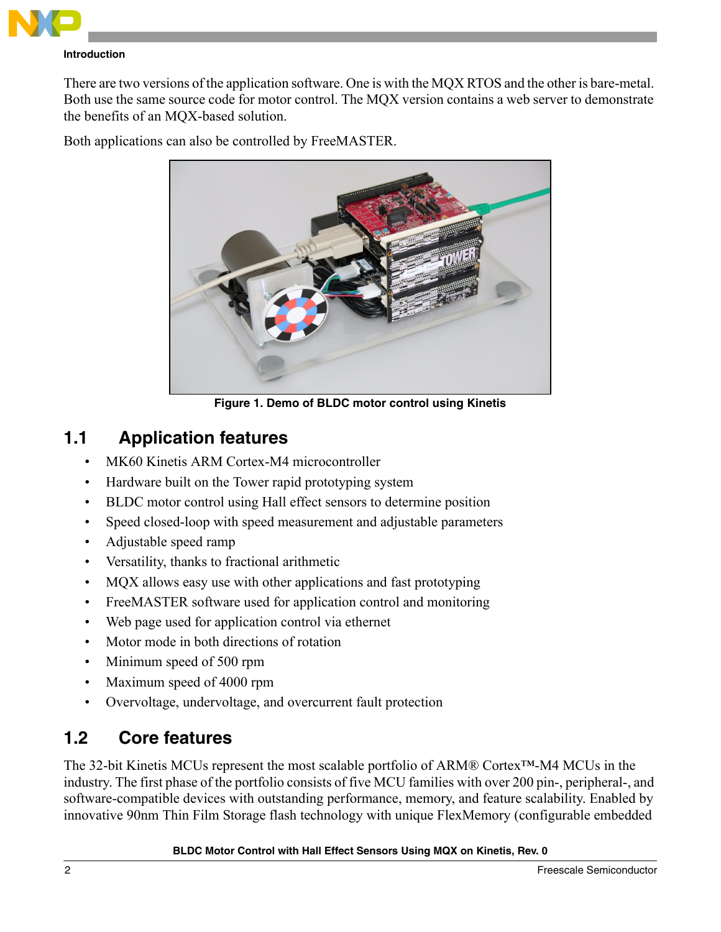

#### **Introduction**

There are two versions of the application software. One is with the MQX RTOS and the other is bare-metal. Both use the same source code for motor control. The MQX version contains a web server to demonstrate the benefits of an MQX-based solution.

Both applications can also be controlled by FreeMASTER.

**Figure 1. Demo of BLDC motor control using Kinetis**

### <span id="page-1-0"></span>**1.1 Application features**

- MK60 Kinetis ARM Cortex-M4 microcontroller
- Hardware built on the Tower rapid prototyping system
- BLDC motor control using Hall effect sensors to determine position
- Speed closed-loop with speed measurement and adjustable parameters
- Adjustable speed ramp
- Versatility, thanks to fractional arithmetic
- MQX allows easy use with other applications and fast prototyping
- FreeMASTER software used for application control and monitoring
- Web page used for application control via ethernet
- Motor mode in both directions of rotation
- Minimum speed of 500 rpm
- Maximum speed of 4000 rpm
- Overvoltage, undervoltage, and overcurrent fault protection

### <span id="page-1-1"></span>**1.2 Core features**

The 32-bit Kinetis MCUs represent the most scalable portfolio of ARM® Cortex™-M4 MCUs in the industry. The first phase of the portfolio consists of five MCU families with over 200 pin-, peripheral-, and software-compatible devices with outstanding performance, memory, and feature scalability. Enabled by innovative 90nm Thin Film Storage flash technology with unique FlexMemory (configurable embedded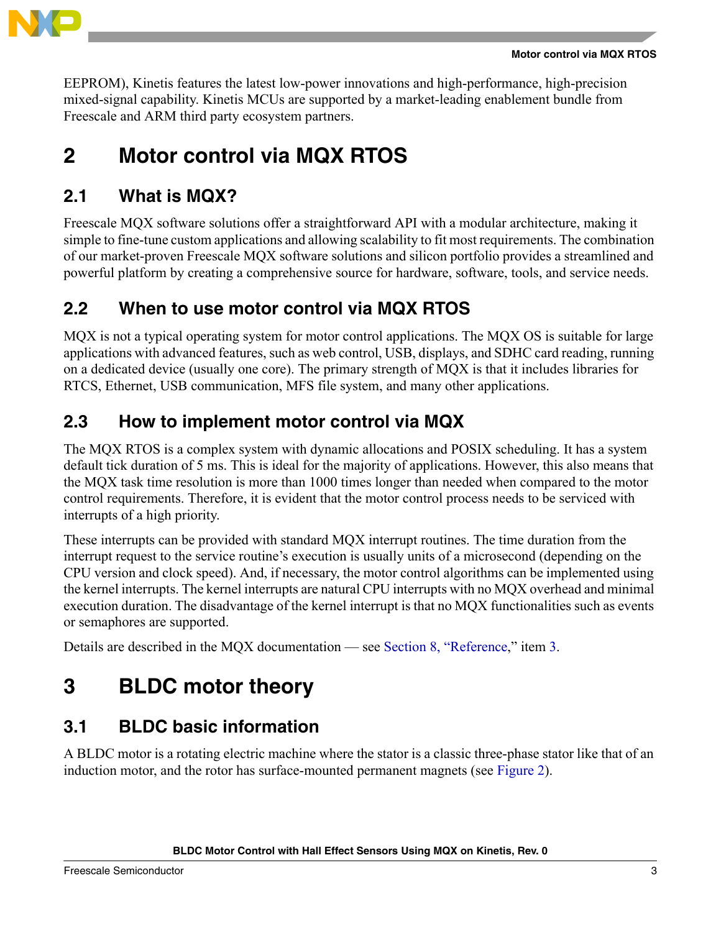EEPROM), Kinetis features the latest low-power innovations and high-performance, high-precision mixed-signal capability. Kinetis MCUs are supported by a market-leading enablement bundle from Freescale and ARM third party ecosystem partners.

# <span id="page-2-0"></span>**2 Motor control via MQX RTOS**

### <span id="page-2-1"></span>**2.1 What is MQX?**

Freescale MQX software solutions offer a straightforward API with a modular architecture, making it simple to fine-tune custom applications and allowing scalability to fit most requirements. The combination of our market-proven Freescale MQX software solutions and silicon portfolio provides a streamlined and powerful platform by creating a comprehensive source for hardware, software, tools, and service needs.

### <span id="page-2-2"></span>**2.2 When to use motor control via MQX RTOS**

MQX is not a typical operating system for motor control applications. The MQX OS is suitable for large applications with advanced features, such as web control, USB, displays, and SDHC card reading, running on a dedicated device (usually one core). The primary strength of MQX is that it includes libraries for RTCS, Ethernet, USB communication, MFS file system, and many other applications.

### <span id="page-2-3"></span>**2.3 How to implement motor control via MQX**

The MQX RTOS is a complex system with dynamic allocations and POSIX scheduling. It has a system default tick duration of 5 ms. This is ideal for the majority of applications. However, this also means that the MQX task time resolution is more than 1000 times longer than needed when compared to the motor control requirements. Therefore, it is evident that the motor control process needs to be serviced with interrupts of a high priority.

These interrupts can be provided with standard MQX interrupt routines. The time duration from the interrupt request to the service routine's execution is usually units of a microsecond (depending on the CPU version and clock speed). And, if necessary, the motor control algorithms can be implemented using the kernel interrupts. The kernel interrupts are natural CPU interrupts with no MQX overhead and minimal execution duration. The disadvantage of the kernel interrupt is that no MQX functionalities such as events or semaphores are supported.

Details are described in the MQX documentation — see [Section 8, "Reference](#page-19-2)," item [3.](#page-19-3)

# <span id="page-2-4"></span>**3 BLDC motor theory**

### <span id="page-2-5"></span>**3.1 BLDC basic information**

A BLDC motor is a rotating electric machine where the stator is a classic three-phase stator like that of an induction motor, and the rotor has surface-mounted permanent magnets (see [Figure 2\)](#page-3-1).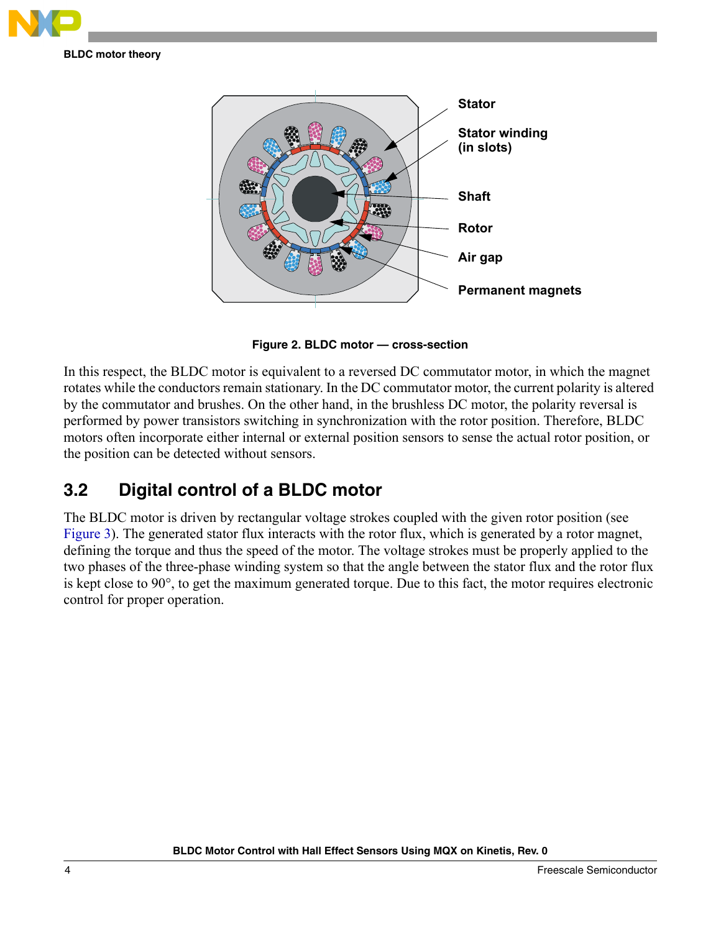



**Figure 2. BLDC motor — cross-section**

<span id="page-3-1"></span>In this respect, the BLDC motor is equivalent to a reversed DC commutator motor, in which the magnet rotates while the conductors remain stationary. In the DC commutator motor, the current polarity is altered by the commutator and brushes. On the other hand, in the brushless DC motor, the polarity reversal is performed by power transistors switching in synchronization with the rotor position. Therefore, BLDC motors often incorporate either internal or external position sensors to sense the actual rotor position, or the position can be detected without sensors.

### <span id="page-3-0"></span>**3.2 Digital control of a BLDC motor**

The BLDC motor is driven by rectangular voltage strokes coupled with the given rotor position (see [Figure 3](#page-4-1)). The generated stator flux interacts with the rotor flux, which is generated by a rotor magnet, defining the torque and thus the speed of the motor. The voltage strokes must be properly applied to the two phases of the three-phase winding system so that the angle between the stator flux and the rotor flux is kept close to 90°, to get the maximum generated torque. Due to this fact, the motor requires electronic control for proper operation.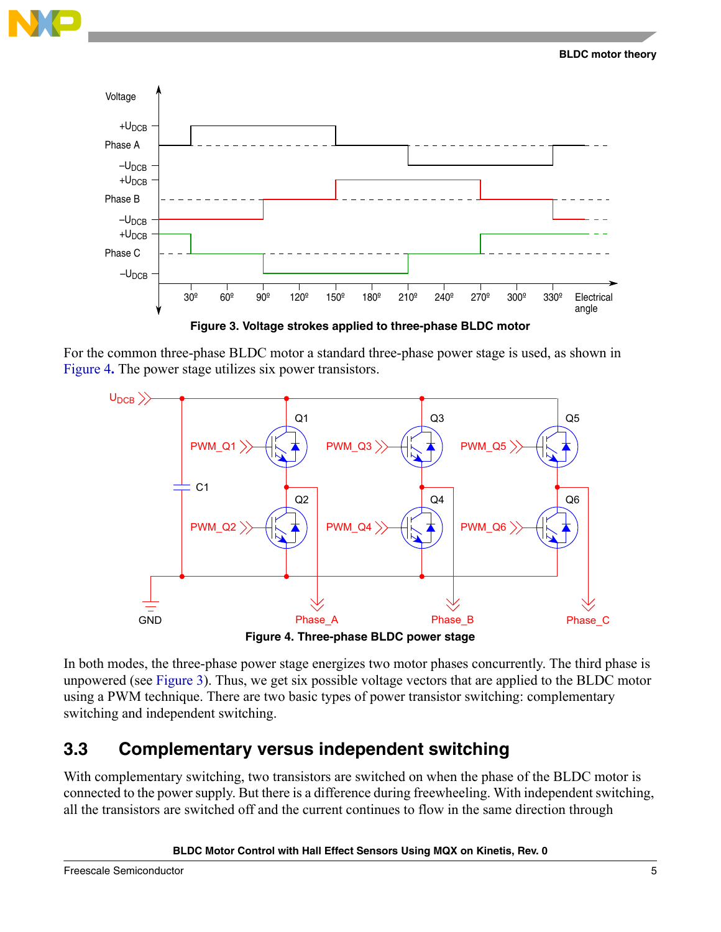





<span id="page-4-1"></span>For the common three-phase BLDC motor a standard three-phase power stage is used, as shown in [Figure 4](#page-4-2)**.** The power stage utilizes six power transistors.



<span id="page-4-2"></span>In both modes, the three-phase power stage energizes two motor phases concurrently. The third phase is unpowered (see [Figure 3\)](#page-4-1). Thus, we get six possible voltage vectors that are applied to the BLDC motor using a PWM technique. There are two basic types of power transistor switching: complementary switching and independent switching.

### <span id="page-4-0"></span>**3.3 Complementary versus independent switching**

With complementary switching, two transistors are switched on when the phase of the BLDC motor is connected to the power supply. But there is a difference during freewheeling. With independent switching, all the transistors are switched off and the current continues to flow in the same direction through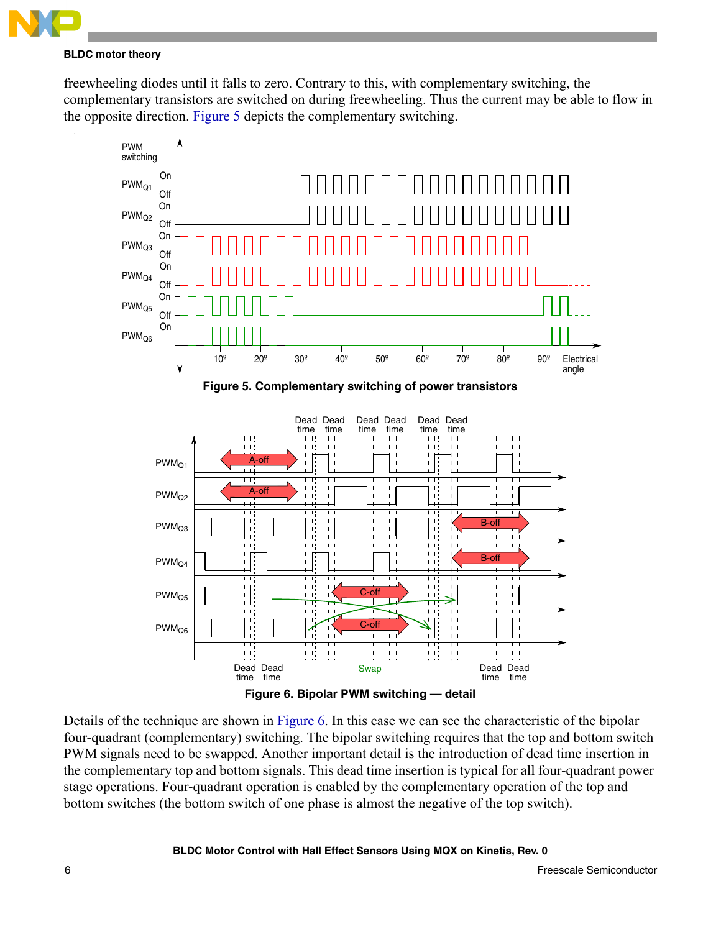

#### **BLDC motor theory**

freewheeling diodes until it falls to zero. Contrary to this, with complementary switching, the complementary transistors are switched on during freewheeling. Thus the current may be able to flow in the opposite direction. [Figure 5](#page-5-0) depicts the complementary switching.

<span id="page-5-0"></span>

<span id="page-5-1"></span>Details of the technique are shown in [Figure 6.](#page-5-1) In this case we can see the characteristic of the bipolar four-quadrant (complementary) switching. The bipolar switching requires that the top and bottom switch PWM signals need to be swapped. Another important detail is the introduction of dead time insertion in the complementary top and bottom signals. This dead time insertion is typical for all four-quadrant power stage operations. Four-quadrant operation is enabled by the complementary operation of the top and bottom switches (the bottom switch of one phase is almost the negative of the top switch).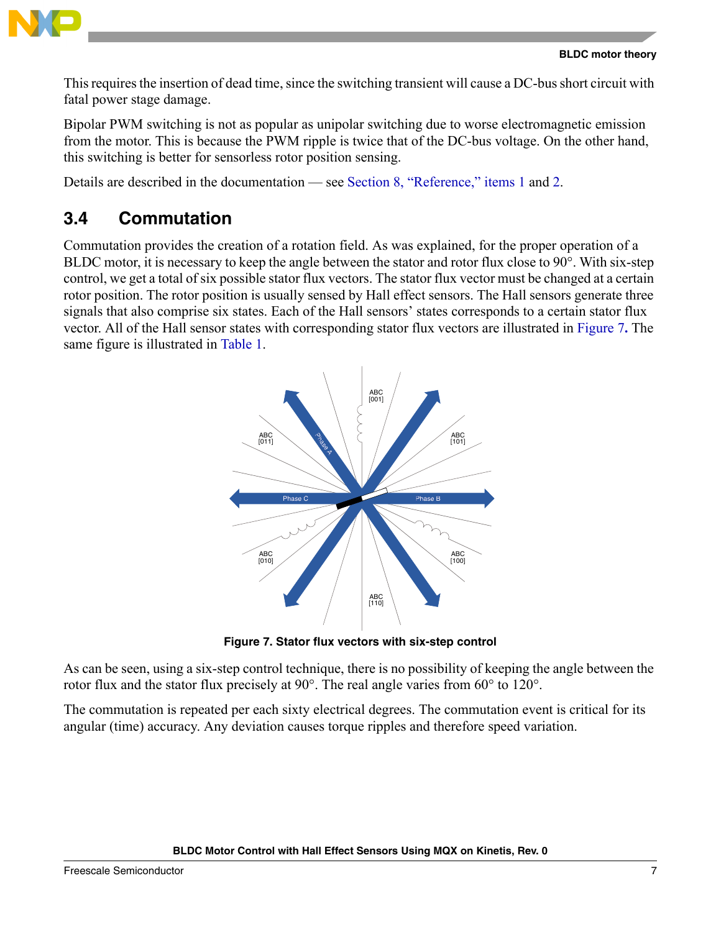

This requires the insertion of dead time, since the switching transient will cause a DC-bus short circuit with fatal power stage damage.

Bipolar PWM switching is not as popular as unipolar switching due to worse electromagnetic emission from the motor. This is because the PWM ripple is twice that of the DC-bus voltage. On the other hand, this switching is better for sensorless rotor position sensing.

Details are described in the documentation — see [Section 8, "Reference](#page-19-2)," items [1](#page-19-4) and [2.](#page-19-5)

### <span id="page-6-0"></span>**3.4 Commutation**

Commutation provides the creation of a rotation field. As was explained, for the proper operation of a BLDC motor, it is necessary to keep the angle between the stator and rotor flux close to 90°. With six-step control, we get a total of six possible stator flux vectors. The stator flux vector must be changed at a certain rotor position. The rotor position is usually sensed by Hall effect sensors. The Hall sensors generate three signals that also comprise six states. Each of the Hall sensors' states corresponds to a certain stator flux vector. All of the Hall sensor states with corresponding stator flux vectors are illustrated in [Figure 7](#page-6-1)**.** The same figure is illustrated in [Table 1](#page-7-1).



**Figure 7. Stator flux vectors with six-step control**

<span id="page-6-1"></span>As can be seen, using a six-step control technique, there is no possibility of keeping the angle between the rotor flux and the stator flux precisely at 90°. The real angle varies from 60° to 120°.

The commutation is repeated per each sixty electrical degrees. The commutation event is critical for its angular (time) accuracy. Any deviation causes torque ripples and therefore speed variation.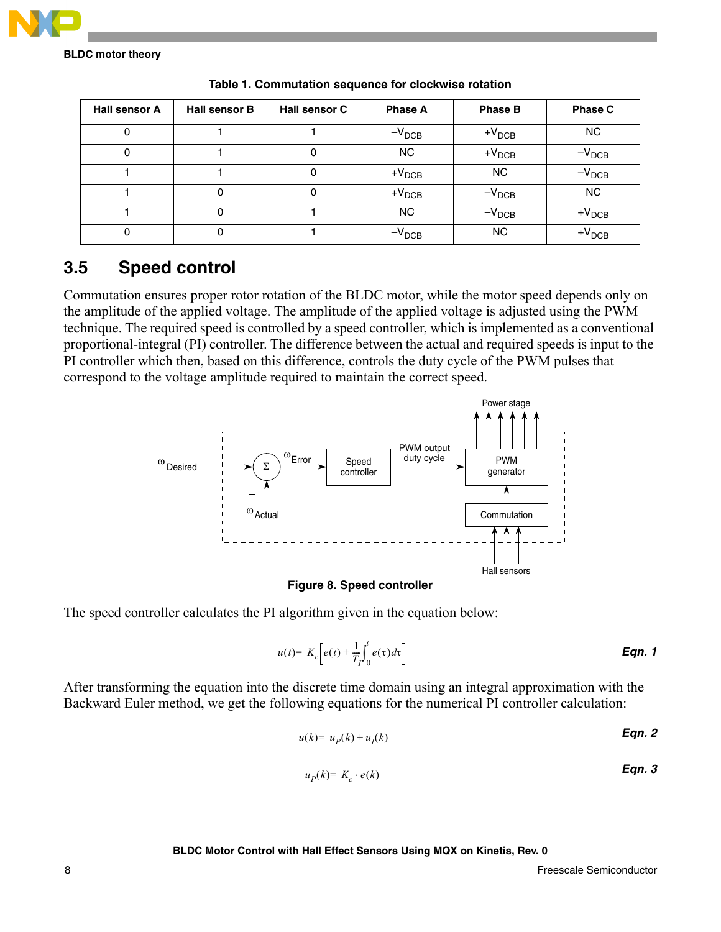

**BLDC motor theory**

<span id="page-7-1"></span>

| <b>Hall sensor A</b> | <b>Hall sensor B</b> | <b>Hall sensor C</b> | <b>Phase A</b> | <b>Phase B</b> | <b>Phase C</b> |
|----------------------|----------------------|----------------------|----------------|----------------|----------------|
| U                    |                      |                      | $-VDCB$        | $+V_{DCB}$     | <b>NC</b>      |
| 0                    |                      |                      | <b>NC</b>      | $+V_{DCB}$     | $-VDCB$        |
|                      |                      |                      | $+V_{DCB}$     | <b>NC</b>      | $-VDCB$        |
|                      |                      |                      | $+V_{DCB}$     | $-VDCB$        | <b>NC</b>      |
|                      |                      |                      | <b>NC</b>      | $-VDCB$        | $+V_{DCB}$     |
|                      |                      |                      | $-VDCB$        | <b>NC</b>      | $+V_{DCB}$     |

**Table 1. Commutation sequence for clockwise rotation**

### <span id="page-7-0"></span>**3.5 Speed control**

Commutation ensures proper rotor rotation of the BLDC motor, while the motor speed depends only on the amplitude of the applied voltage. The amplitude of the applied voltage is adjusted using the PWM technique. The required speed is controlled by a speed controller, which is implemented as a conventional proportional-integral (PI) controller. The difference between the actual and required speeds is input to the PI controller which then, based on this difference, controls the duty cycle of the PWM pulses that correspond to the voltage amplitude required to maintain the correct speed.



**Figure 8. Speed controller**

The speed controller calculates the PI algorithm given in the equation below:

$$
u(t) = K_c \left[ e(t) + \frac{1}{T_f} \int_0^t e(\tau) d\tau \right]
$$
Eqn. 1

After transforming the equation into the discrete time domain using an integral approximation with the Backward Euler method, we get the following equations for the numerical PI controller calculation:

$$
u(k) = u_p(k) + u_j(k)
$$
Eqn. 2

*Eqn. 3 uP k Kc* = *e k*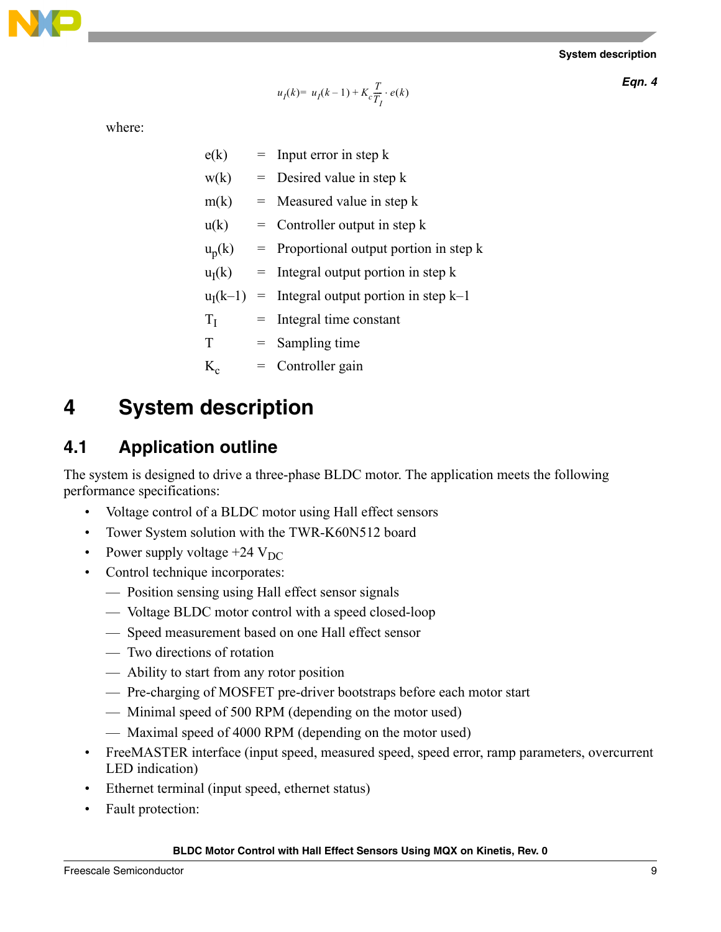

*Eqn. 4*

$$
u_I(k) = u_I(k-1) + K_c \frac{T}{T_I} \cdot e(k)
$$

where:

| $=$ Input error in step $k$                      |
|--------------------------------------------------|
| $=$ Desired value in step k                      |
| $=$ Measured value in step k                     |
| $=$ Controller output in step k                  |
| $=$ Proportional output portion in step k        |
| $=$ Integral output portion in step k            |
| $u_I(k-1)$ = Integral output portion in step k–1 |
| $=$ Integral time constant                       |
| $=$ Sampling time                                |
| $=$ Controller gain                              |
|                                                  |

## <span id="page-8-0"></span>**4 System description**

### <span id="page-8-1"></span>**4.1 Application outline**

The system is designed to drive a three-phase BLDC motor. The application meets the following performance specifications:

- Voltage control of a BLDC motor using Hall effect sensors
- Tower System solution with the TWR-K60N512 board
- Power supply voltage  $+24$  V<sub>DC</sub>
- Control technique incorporates:
	- Position sensing using Hall effect sensor signals
	- Voltage BLDC motor control with a speed closed-loop
	- Speed measurement based on one Hall effect sensor
	- Two directions of rotation
	- Ability to start from any rotor position
	- Pre-charging of MOSFET pre-driver bootstraps before each motor start
	- Minimal speed of 500 RPM (depending on the motor used)
	- Maximal speed of 4000 RPM (depending on the motor used)
- FreeMASTER interface (input speed, measured speed, speed error, ramp parameters, overcurrent LED indication)
- Ethernet terminal (input speed, ethernet status)
- Fault protection: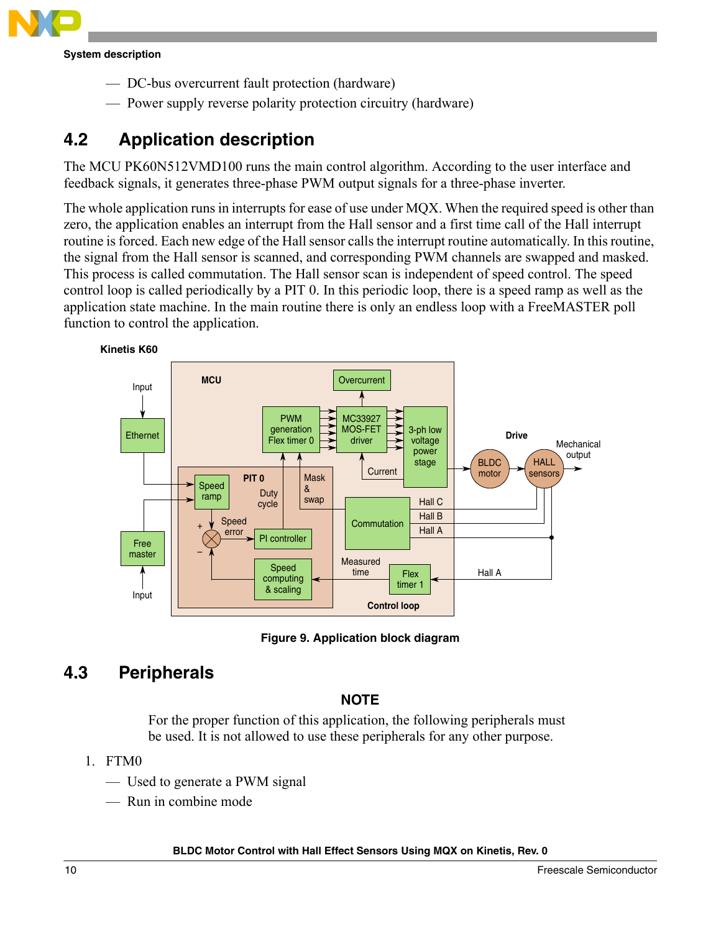

**System description**

- DC-bus overcurrent fault protection (hardware)
- Power supply reverse polarity protection circuitry (hardware)

### <span id="page-9-0"></span>**4.2 Application description**

The MCU PK60N512VMD100 runs the main control algorithm. According to the user interface and feedback signals, it generates three-phase PWM output signals for a three-phase inverter.

The whole application runs in interrupts for ease of use under MQX. When the required speed is other than zero, the application enables an interrupt from the Hall sensor and a first time call of the Hall interrupt routine is forced. Each new edge of the Hall sensor calls the interrupt routine automatically. In this routine, the signal from the Hall sensor is scanned, and corresponding PWM channels are swapped and masked. This process is called commutation. The Hall sensor scan is independent of speed control. The speed control loop is called periodically by a PIT 0. In this periodic loop, there is a speed ramp as well as the application state machine. In the main routine there is only an endless loop with a FreeMASTER poll function to control the application.



**Figure 9. Application block diagram**

### <span id="page-9-1"></span>**4.3 Peripherals**

### **NOTE**

For the proper function of this application, the following peripherals must be used. It is not allowed to use these peripherals for any other purpose.

- 1. FTM0
	- Used to generate a PWM signal
	- Run in combine mode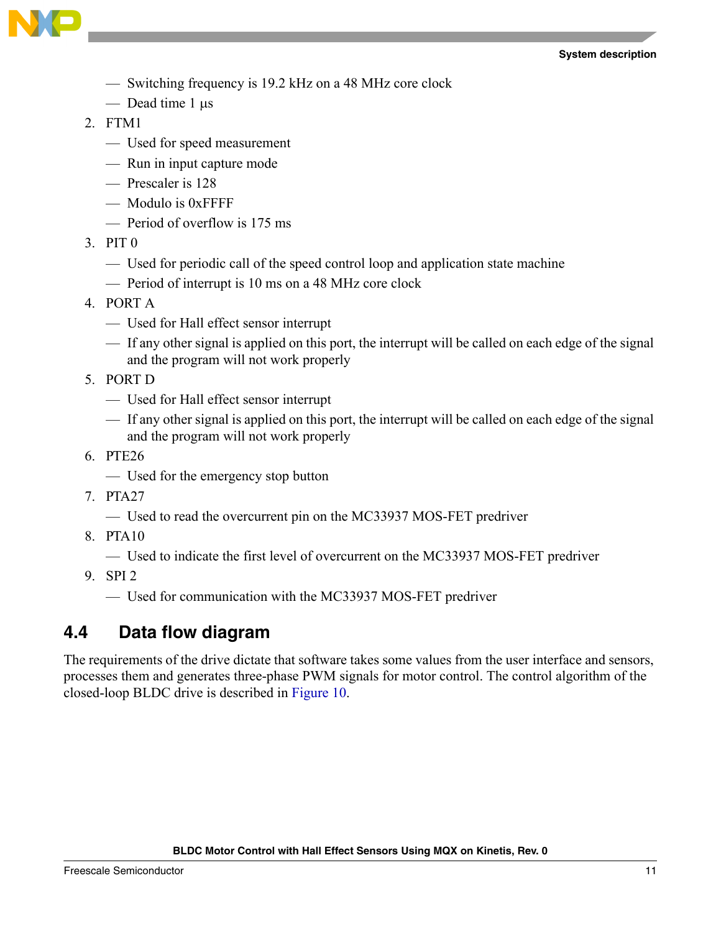

#### **System description**

- Switching frequency is 19.2 kHz on a 48 MHz core clock
- Dead time  $1 \mu s$
- 2. FTM1
	- Used for speed measurement
	- Run in input capture mode
	- Prescaler is 128
	- Modulo is 0xFFFF
	- Period of overflow is 175 ms
- 3. PIT 0
	- Used for periodic call of the speed control loop and application state machine
	- Period of interrupt is 10 ms on a 48 MHz core clock
- 4. PORT A
	- Used for Hall effect sensor interrupt
	- If any other signal is applied on this port, the interrupt will be called on each edge of the signal and the program will not work properly
- 5. PORT D
	- Used for Hall effect sensor interrupt
	- If any other signal is applied on this port, the interrupt will be called on each edge of the signal and the program will not work properly
- 6. PTE26
	- Used for the emergency stop button
- 7. PTA27
	- Used to read the overcurrent pin on the MC33937 MOS-FET predriver
- 8. PTA10

— Used to indicate the first level of overcurrent on the MC33937 MOS-FET predriver

9. SPI 2

— Used for communication with the MC33937 MOS-FET predriver

### <span id="page-10-0"></span>**4.4 Data flow diagram**

The requirements of the drive dictate that software takes some values from the user interface and sensors, processes them and generates three-phase PWM signals for motor control. The control algorithm of the closed-loop BLDC drive is described in [Figure 10](#page-11-0).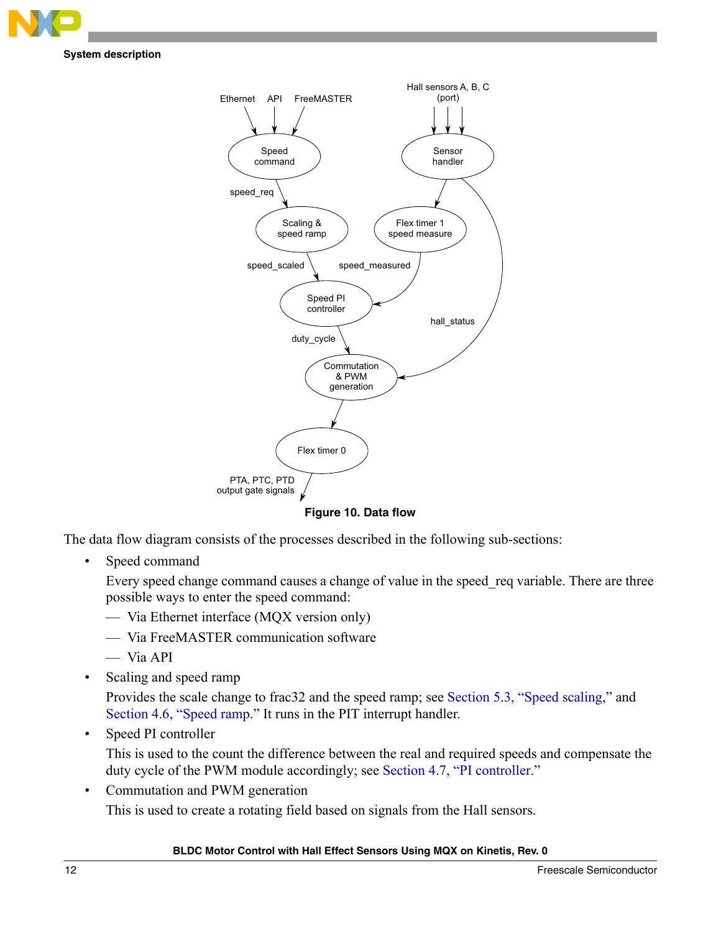

**System description**



**Figure 10. Data flow**

<span id="page-11-0"></span>The data flow diagram consists of the processes described in the following sub-sections:

• Speed command

Every speed change command causes a change of value in the speed\_req variable. There are three possible ways to enter the speed command:

— Via Ethernet interface (MQX version only)

— Via FreeMASTER communication software

— Via API

Scaling and speed ramp

Provides the scale change to frac32 and the speed ramp; see [Section 5.3, "Speed scaling,](#page-16-0)" and [Section 4.6, "Speed ramp](#page-12-1)." It runs in the PIT interrupt handler.

Speed PI controller

This is used to the count the difference between the real and required speeds and compensate the duty cycle of the PWM module accordingly; see [Section 4.7, "PI controller.](#page-13-0)"

• Commutation and PWM generation This is used to create a rotating field based on signals from the Hall sensors.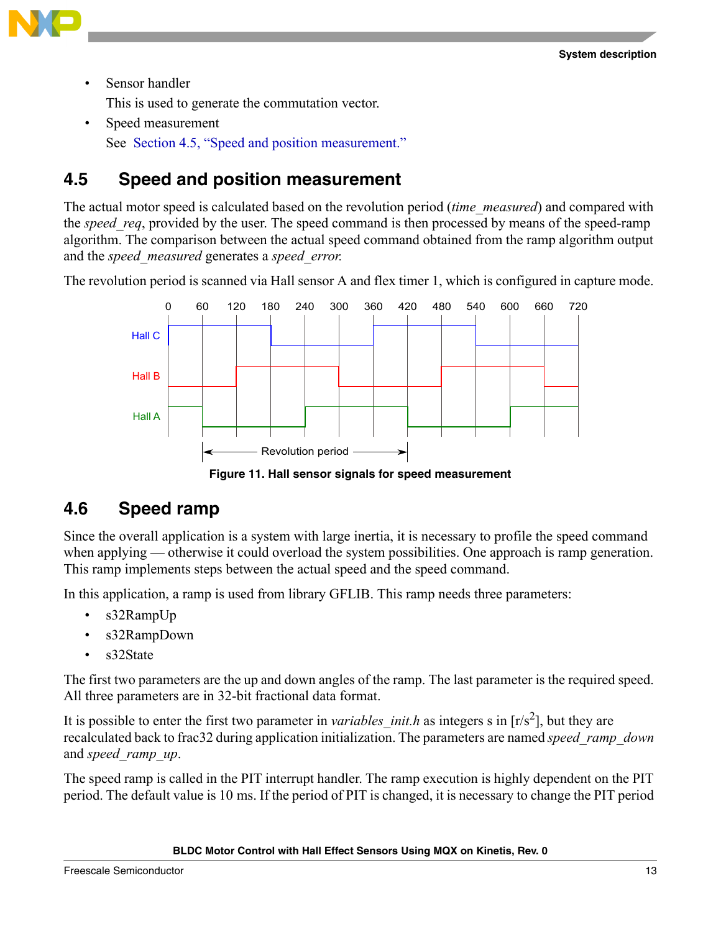

Sensor handler

This is used to generate the commutation vector.

• Speed measurement See [Section 4.5, "Speed and position measurement.](#page-12-0)"

### <span id="page-12-0"></span>**4.5 Speed and position measurement**

The actual motor speed is calculated based on the revolution period (*time\_measured*) and compared with the *speed req*, provided by the user. The speed command is then processed by means of the speed-ramp algorithm. The comparison between the actual speed command obtained from the ramp algorithm output and the *speed\_measured* generates a *speed\_error.*

The revolution period is scanned via Hall sensor A and flex timer 1, which is configured in capture mode.



**Figure 11. Hall sensor signals for speed measurement**

### <span id="page-12-1"></span>**4.6 Speed ramp**

Since the overall application is a system with large inertia, it is necessary to profile the speed command when applying — otherwise it could overload the system possibilities. One approach is ramp generation. This ramp implements steps between the actual speed and the speed command.

In this application, a ramp is used from library GFLIB. This ramp needs three parameters:

- s32RampUp
- s32RampDown
- s32State

The first two parameters are the up and down angles of the ramp. The last parameter is the required speed. All three parameters are in 32-bit fractional data format.

It is possible to enter the first two parameter in *variables init.h* as integers s in  $[r/s^2]$ , but they are recalculated back to frac32 during application initialization. The parameters are named *speed\_ramp\_down* and *speed\_ramp\_up*.

The speed ramp is called in the PIT interrupt handler. The ramp execution is highly dependent on the PIT period. The default value is 10 ms. If the period of PIT is changed, it is necessary to change the PIT period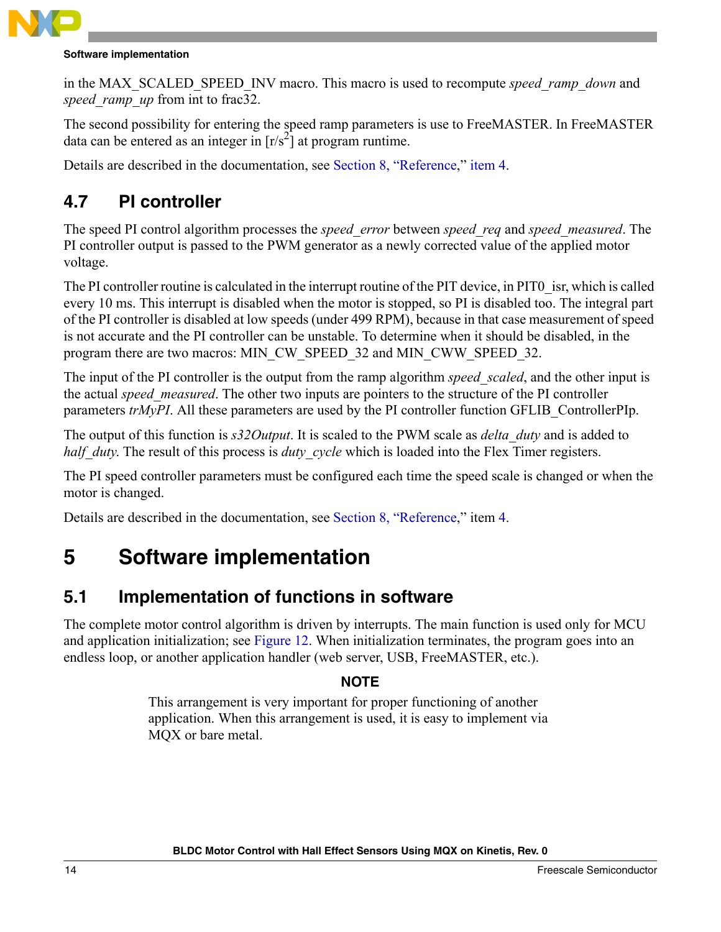

in the MAX\_SCALED\_SPEED\_INV macro. This macro is used to recompute *speed\_ramp\_down* and *speed\_ramp\_up* from int to frac32.

The second possibility for entering the speed ramp parameters is use to FreeMASTER. In FreeMASTER data can be entered as an integer in  $[r/s^2]$  at program runtime.

Details are described in the documentation, see [Section 8, "Reference](#page-19-2)," item [4.](#page-19-6)

### <span id="page-13-0"></span>**4.7 PI controller**

The speed PI control algorithm processes the *speed\_error* between *speed\_req* and *speed\_measured*. The PI controller output is passed to the PWM generator as a newly corrected value of the applied motor voltage.

The PI controller routine is calculated in the interrupt routine of the PIT device, in PIT0 isr, which is called every 10 ms. This interrupt is disabled when the motor is stopped, so PI is disabled too. The integral part of the PI controller is disabled at low speeds (under 499 RPM), because in that case measurement of speed is not accurate and the PI controller can be unstable. To determine when it should be disabled, in the program there are two macros: MIN\_CW\_SPEED\_32 and MIN\_CWW\_SPEED\_32.

The input of the PI controller is the output from the ramp algorithm *speed\_scaled*, and the other input is the actual *speed\_measured*. The other two inputs are pointers to the structure of the PI controller parameters *trMyPI*. All these parameters are used by the PI controller function GFLIB ControllerPIp.

The output of this function is *s32Output*. It is scaled to the PWM scale as *delta\_duty* and is added to *half\_duty*. The result of this process is *duty\_cycle* which is loaded into the Flex Timer registers.

The PI speed controller parameters must be configured each time the speed scale is changed or when the motor is changed.

Details are described in the documentation, see [Section 8, "Reference](#page-19-2)," item [4.](#page-19-6)

## <span id="page-13-1"></span>**5 Software implementation**

### <span id="page-13-2"></span>**5.1 Implementation of functions in software**

The complete motor control algorithm is driven by interrupts. The main function is used only for MCU and application initialization; see [Figure 12](#page-14-0). When initialization terminates, the program goes into an endless loop, or another application handler (web server, USB, FreeMASTER, etc.).

### **NOTE**

This arrangement is very important for proper functioning of another application. When this arrangement is used, it is easy to implement via MQX or bare metal.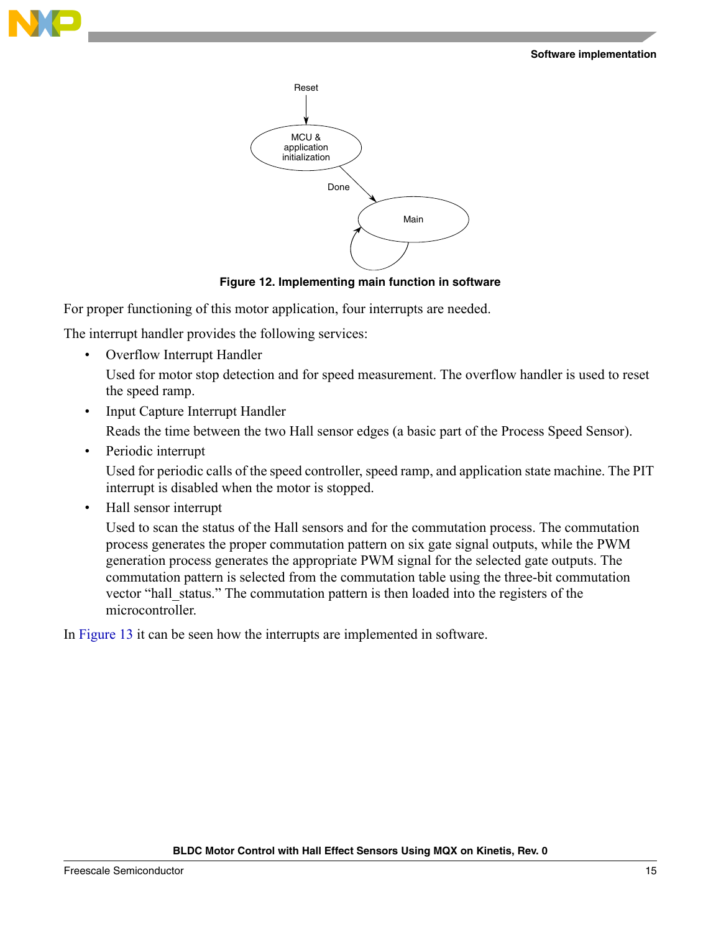



**Figure 12. Implementing main function in software**

<span id="page-14-0"></span>For proper functioning of this motor application, four interrupts are needed.

The interrupt handler provides the following services:

• Overflow Interrupt Handler

Used for motor stop detection and for speed measurement. The overflow handler is used to reset the speed ramp.

- Input Capture Interrupt Handler Reads the time between the two Hall sensor edges (a basic part of the Process Speed Sensor).
- Periodic interrupt

Used for periodic calls of the speed controller, speed ramp, and application state machine. The PIT interrupt is disabled when the motor is stopped.

• Hall sensor interrupt

Used to scan the status of the Hall sensors and for the commutation process. The commutation process generates the proper commutation pattern on six gate signal outputs, while the PWM generation process generates the appropriate PWM signal for the selected gate outputs. The commutation pattern is selected from the commutation table using the three-bit commutation vector "hall\_status." The commutation pattern is then loaded into the registers of the microcontroller.

In [Figure 13](#page-15-1) it can be seen how the interrupts are implemented in software.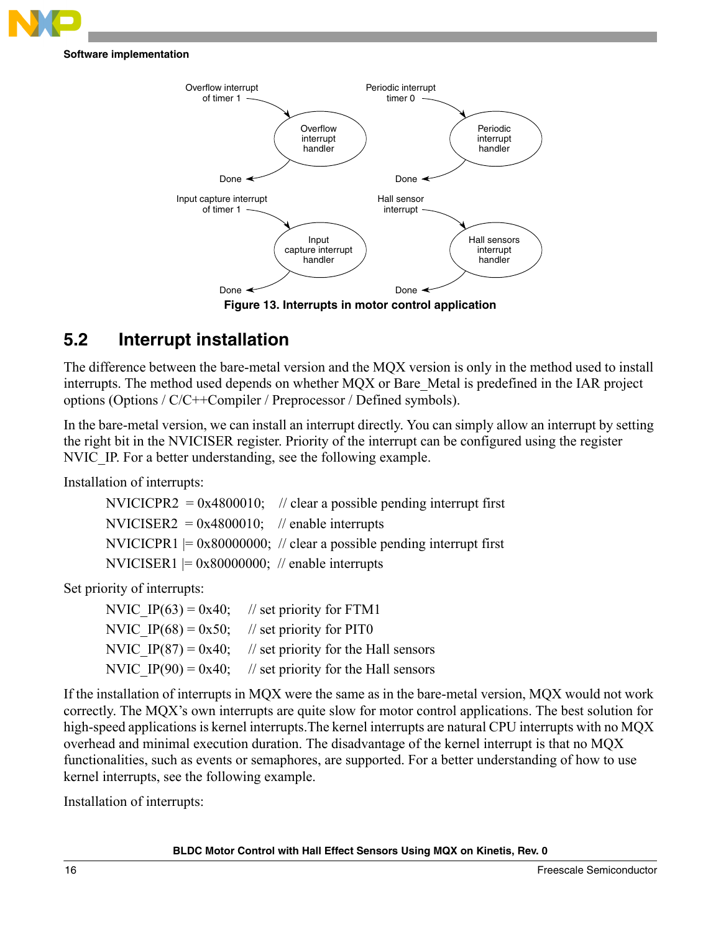



**Figure 13. Interrupts in motor control application**

### <span id="page-15-1"></span><span id="page-15-0"></span>**5.2 Interrupt installation**

The difference between the bare-metal version and the MQX version is only in the method used to install interrupts. The method used depends on whether MQX or Bare\_Metal is predefined in the IAR project options (Options / C/C++Compiler / Preprocessor / Defined symbols).

In the bare-metal version, we can install an interrupt directly. You can simply allow an interrupt by setting the right bit in the NVICISER register. Priority of the interrupt can be configured using the register NVIC IP. For a better understanding, see the following example.

Installation of interrupts:

```
NVICICPR2 = 0x4800010; // clear a possible pending interrupt first
NVICISER2 = 0x4800010; // enable interrupts
NVICICPR1 = 0x80000000; // clear a possible pending interrupt first
NVICISER1 = 0x80000000; // enable interrupts
```
Set priority of interrupts:

|                                                 | NVIC IP(63) = $0x40$ ; // set priority for FTM1             |
|-------------------------------------------------|-------------------------------------------------------------|
| NVIC IP(68) = $0x50$ ; // set priority for PIT0 |                                                             |
|                                                 | NVIC IP(87) = $0x40$ ; // set priority for the Hall sensors |
|                                                 | NVIC IP(90) = $0x40$ ; // set priority for the Hall sensors |

If the installation of interrupts in MQX were the same as in the bare-metal version, MQX would not work correctly. The MQX's own interrupts are quite slow for motor control applications. The best solution for high-speed applications is kernel interrupts.The kernel interrupts are natural CPU interrupts with no MQX overhead and minimal execution duration. The disadvantage of the kernel interrupt is that no MQX functionalities, such as events or semaphores, are supported. For a better understanding of how to use kernel interrupts, see the following example.

Installation of interrupts: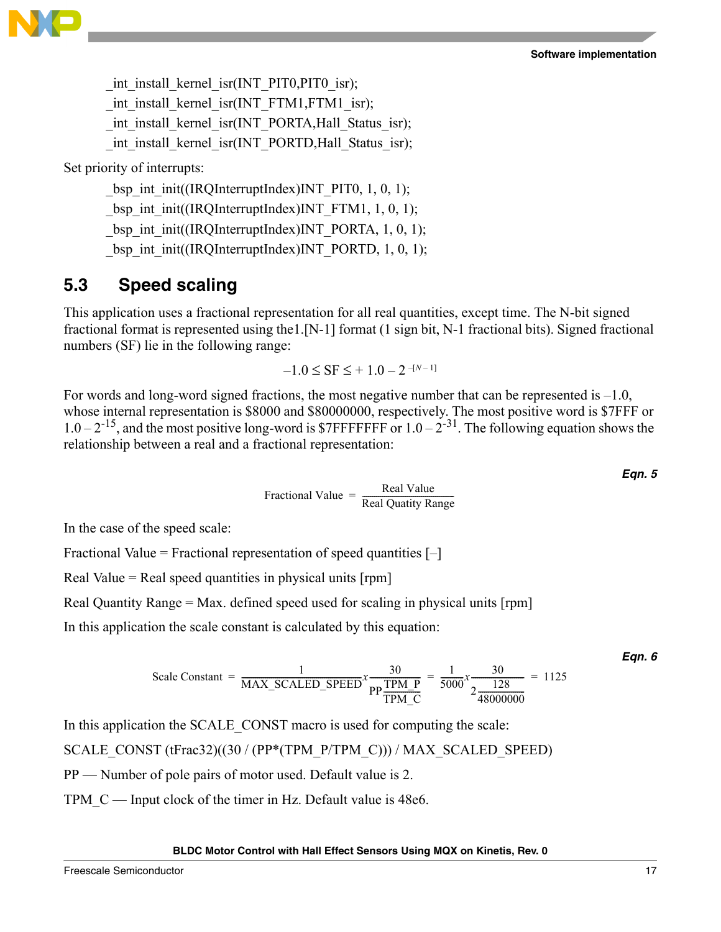

int\_install\_kernel\_isr(INT\_PIT0,PIT0\_isr); int\_install\_kernel\_isr(INT\_FTM1,FTM1\_isr); int\_install\_kernel\_isr(INT\_PORTA,Hall\_Status\_isr); int\_install\_kernel\_isr(INT\_PORTD,Hall\_Status\_isr);

Set priority of interrupts:

bsp\_int\_init( $(IRQInterruptIndex)INT$  PIT0, 1, 0, 1); bsp\_int\_init((IRQInterruptIndex)INT\_FTM1, 1, 0, 1); \_bsp\_int\_init((IRQInterruptIndex)INT\_PORTA, 1, 0, 1); bsp\_int\_init((IRQInterruptIndex)INT\_PORTD, 1, 0, 1);

### <span id="page-16-0"></span>**5.3 Speed scaling**

This application uses a fractional representation for all real quantities, except time. The N-bit signed fractional format is represented using the1.[N-1] format (1 sign bit, N-1 fractional bits). Signed fractional numbers (SF) lie in the following range:

$$
-1.0 \le SF \le +1.0 - 2^{-[N-1]}
$$

For words and long-word signed fractions, the most negative number that can be represented is  $-1.0$ , whose internal representation is \$8000 and \$80000000, respectively. The most positive word is \$7FFF or  $1.0 - 2^{-15}$ , and the most positive long-word is \$7FFFFFFF or  $1.0 - 2^{-31}$ . The following equation shows the relationship between a real and a fractional representation:

*Eqn. 5*

 $Fractional Value = \frac{Real Value}{Real Quality Range}$ 

In the case of the speed scale:

Fractional Value = Fractional representation of speed quantities [–]

Real Value = Real speed quantities in physical units [rpm]

Real Quantity Range = Max. defined speed used for scaling in physical units [rpm]

<span id="page-16-1"></span>In this application the scale constant is calculated by this equation:

*Eqn. 6*

Scale Constant = 
$$
\frac{1}{MAX\_SCALED\_SPEED}x \frac{30}{PP \frac{TPM_P}{TPM_C}} = \frac{1}{5000}x \frac{30}{2 \frac{128}{48000000}} = 1125
$$

In this application the SCALE\_CONST macro is used for computing the scale:

SCALE\_CONST (tFrac32)((30 / (PP\*(TPM\_P/TPM\_C))) / MAX\_SCALED\_SPEED)

PP — Number of pole pairs of motor used. Default value is 2.

TPM C — Input clock of the timer in Hz. Default value is 48e6.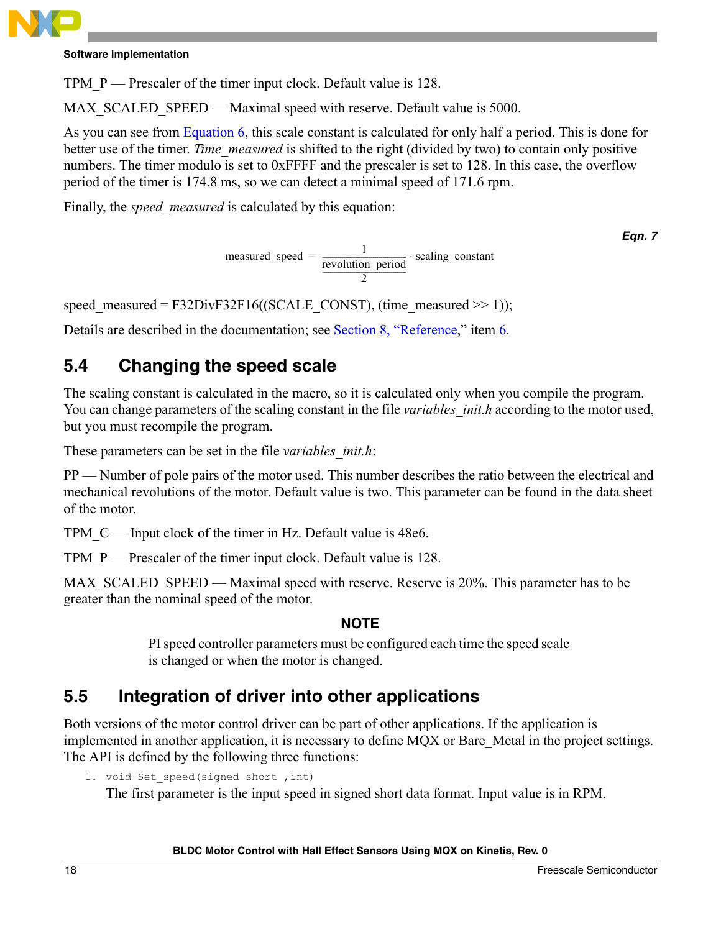

TPM P — Prescaler of the timer input clock. Default value is 128.

MAX SCALED SPEED — Maximal speed with reserve. Default value is 5000.

As you can see from [Equation 6,](#page-16-1) this scale constant is calculated for only half a period. This is done for better use of the timer. *Time\_measured* is shifted to the right (divided by two) to contain only positive numbers. The timer modulo is set to 0xFFFF and the prescaler is set to 128. In this case, the overflow period of the timer is 174.8 ms, so we can detect a minimal speed of 171.6 rpm.

Finally, the *speed measured* is calculated by this equation:

 $measured\_speed = \frac{1}{\frac{revolution\_period}{2}}$  $=$   $\frac{1}{\sqrt{1 + \frac{1}{\cdots}} \cdot \text{scaling constant}}$ 

speed\_measured = F32DivF32F16((SCALE\_CONST), (time\_measured  $\gg$  1));

Details are described in the documentation; see [Section 8, "Reference](#page-19-2)," item [6](#page-19-7).

### <span id="page-17-0"></span>**5.4 Changing the speed scale**

The scaling constant is calculated in the macro, so it is calculated only when you compile the program. You can change parameters of the scaling constant in the file *variables init.h* according to the motor used, but you must recompile the program.

These parameters can be set in the file *variables\_init.h*:

PP — Number of pole pairs of the motor used. This number describes the ratio between the electrical and mechanical revolutions of the motor. Default value is two. This parameter can be found in the data sheet of the motor.

TPM  $C$  — Input clock of the timer in Hz. Default value is 48e6.

TPM P — Prescaler of the timer input clock. Default value is 128.

MAX SCALED SPEED — Maximal speed with reserve. Reserve is 20%. This parameter has to be greater than the nominal speed of the motor.

#### **NOTE**

PI speed controller parameters must be configured each time the speed scale is changed or when the motor is changed.

### <span id="page-17-1"></span>**5.5 Integration of driver into other applications**

Both versions of the motor control driver can be part of other applications. If the application is implemented in another application, it is necessary to define MQX or Bare\_Metal in the project settings. The API is defined by the following three functions:

1. void Set speed(signed short , int)

The first parameter is the input speed in signed short data format. Input value is in RPM.

*Eqn. 7*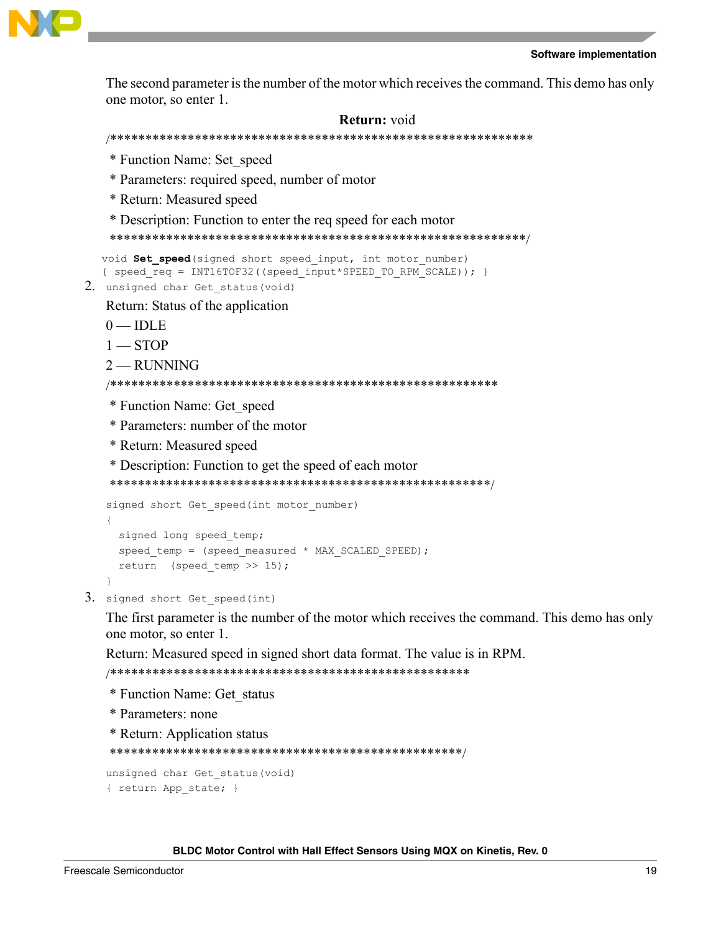The second parameter is the number of the motor which receives the command. This demo has only one motor, so enter 1.

```
Return: void
   /************************************************************
     * Function Name: Set_speed
     * Parameters: required speed, number of motor
     * Return: Measured speed
     * Description: Function to enter the req speed for each motor
     ***********************************************************/
  void Set_speed(signed short speed_input, int motor_number)
  { speed req = INT16TOF32((speed input*SPEED TO RPM SCALE)); }
2. unsigned char Get_status(void)
   Return: Status of the application
   0 — IDLE
   1 -STOP
   2 — RUNNING
   /*******************************************************
     * Function Name: Get_speed
     * Parameters: number of the motor
     * Return: Measured speed
     * Description: Function to get the speed of each motor
     ******************************************************/
   signed short Get speed(int motor number)
   {
     signed long speed temp;
     speed temp = (speed measured * MAX SCALED SPEED);
     return (speed temp >> 15);
   }
3. signed short Get speed(int)
```
The first parameter is the number of the motor which receives the command. This demo has only one motor, so enter 1.

Return: Measured speed in signed short data format. The value is in RPM.

```
/***************************************************
```
- \* Function Name: Get\_status
- \* Parameters: none
- \* Return: Application status

```
 **************************************************/
```

```
unsigned char Get_status(void)
{ return App_state; }
```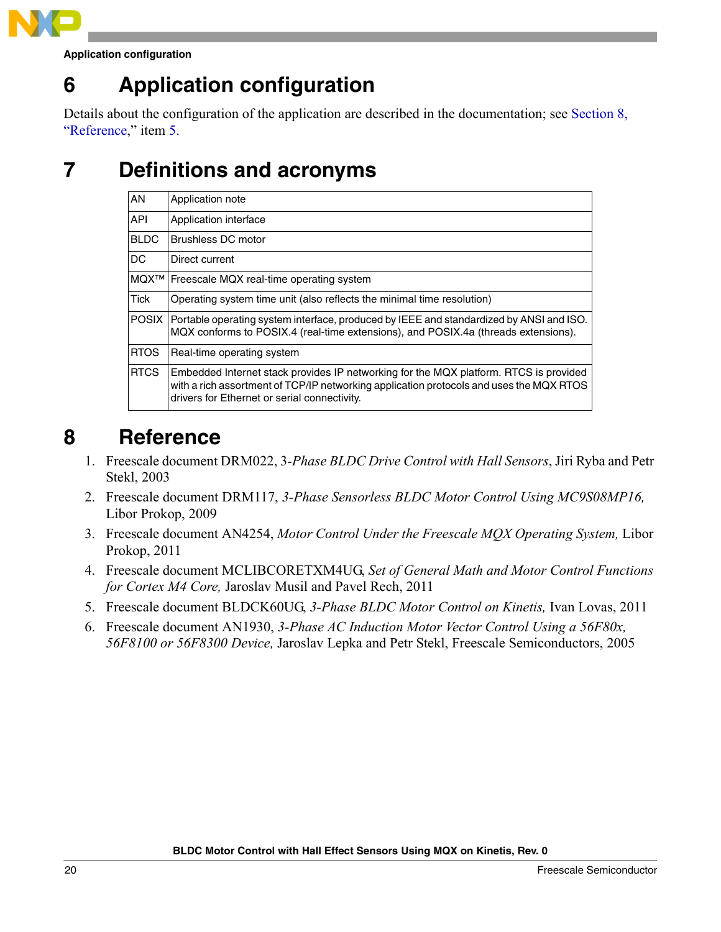

**Application configuration**

# <span id="page-19-0"></span>**6 Application configuration**

Details about the configuration of the application are described in the documentation; see [Section 8,](#page-19-2)  ["Reference,](#page-19-2)" item [5.](#page-19-8)

# <span id="page-19-1"></span>**7 Definitions and acronyms**

| AN           | Application note                                                                                                                                                                                                                 |
|--------------|----------------------------------------------------------------------------------------------------------------------------------------------------------------------------------------------------------------------------------|
| <b>API</b>   | Application interface                                                                                                                                                                                                            |
| <b>BLDC</b>  | Brushless DC motor                                                                                                                                                                                                               |
| DC           | Direct current                                                                                                                                                                                                                   |
| <b>MQXTM</b> | Freescale MQX real-time operating system                                                                                                                                                                                         |
| <b>Tick</b>  | Operating system time unit (also reflects the minimal time resolution)                                                                                                                                                           |
| <b>POSIX</b> | Portable operating system interface, produced by IEEE and standardized by ANSI and ISO.<br>MQX conforms to POSIX.4 (real-time extensions), and POSIX.4a (threads extensions).                                                    |
| <b>RTOS</b>  | Real-time operating system                                                                                                                                                                                                       |
| <b>RTCS</b>  | Embedded Internet stack provides IP networking for the MQX platform. RTCS is provided<br>with a rich assortment of TCP/IP networking application protocols and uses the MQX RTOS<br>drivers for Ethernet or serial connectivity. |

# <span id="page-19-2"></span>**8 Reference**

- <span id="page-19-4"></span>1. Freescale document DRM022, 3*-Phase BLDC Drive Control with Hall Sensors*, Jiri Ryba and Petr Stekl, 2003
- <span id="page-19-5"></span>2. Freescale document DRM117, *3-Phase Sensorless BLDC Motor Control Using MC9S08MP16,*  Libor Prokop, 2009
- <span id="page-19-3"></span>3. Freescale document AN4254, *Motor Control Under the Freescale MQX Operating System,* Libor Prokop, 2011
- <span id="page-19-6"></span>4. Freescale document MCLIBCORETXM4UG, *Set of General Math and Motor Control Functions for Cortex M4 Core,* Jaroslav Musil and Pavel Rech, 2011
- <span id="page-19-8"></span>5. Freescale document BLDCK60UG, *3-Phase BLDC Motor Control on Kinetis,* Ivan Lovas, 2011
- <span id="page-19-7"></span>6. Freescale document AN1930, *3-Phase AC Induction Motor Vector Control Using a 56F80x, 56F8100 or 56F8300 Device,* Jaroslav Lepka and Petr Stekl, Freescale Semiconductors, 2005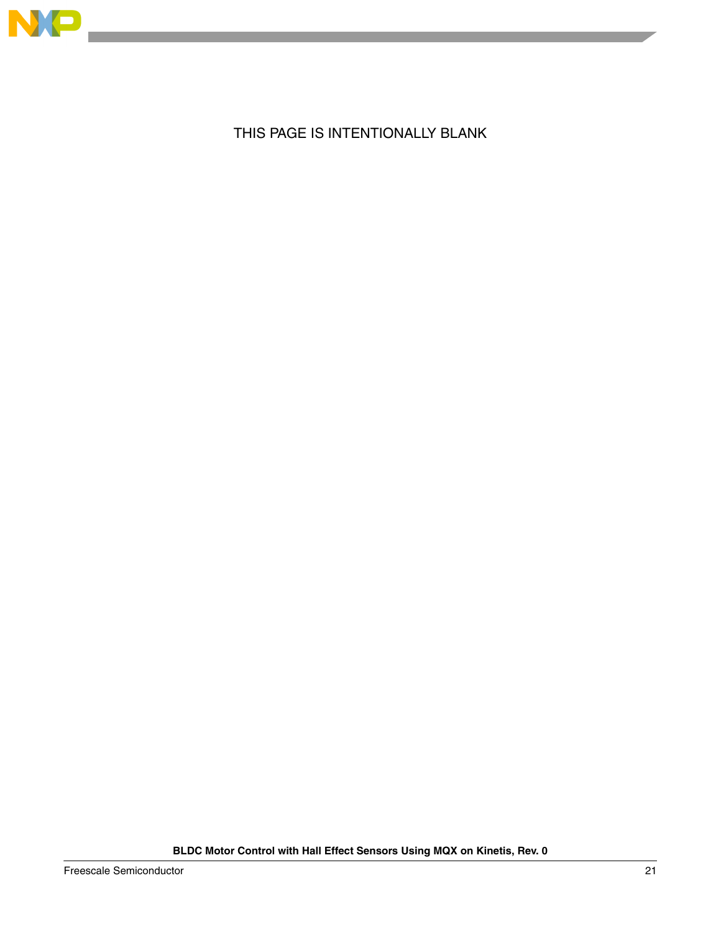

THIS PAGE IS INTENTIONALLY BLANK